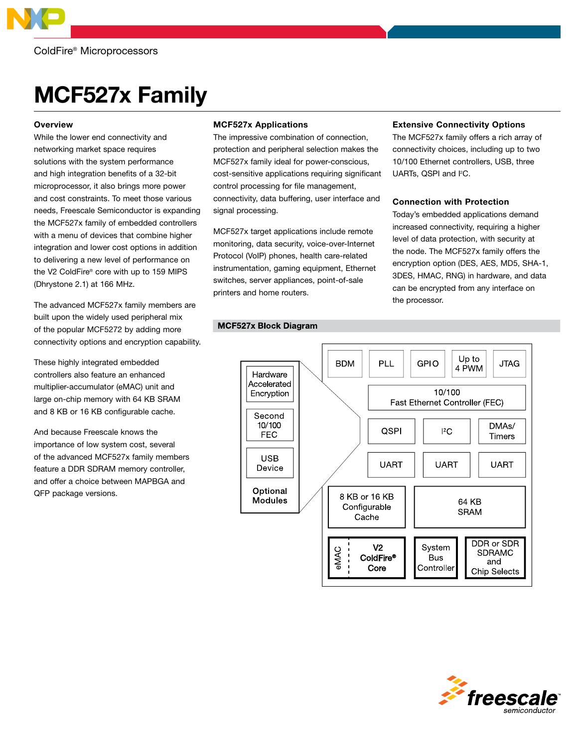

# MCF527x Family

## **Overview**

While the lower end connectivity and networking market space requires solutions with the system performance and high integration benefits of a 32-bit microprocessor, it also brings more power and cost constraints. To meet those various needs, Freescale Semiconductor is expanding the MCF527x family of embedded controllers with a menu of devices that combine higher integration and lower cost options in addition to delivering a new level of performance on the V2 ColdFire® core with up to 159 MIPS (Dhrystone 2.1) at 166 MHz.

The advanced MCF527x family members are built upon the widely used peripheral mix of the popular MCF5272 by adding more connectivity options and encryption capability.

These highly integrated embedded controllers also feature an enhanced multiplier-accumulator (eMAC) unit and large on-chip memory with 64 KB SRAM and 8 KB or 16 KB configurable cache.

And because Freescale knows the importance of low system cost, several of the advanced MCF527x family members feature a DDR SDRAM memory controller, and offer a choice between MAPBGA and QFP package versions.

# MCF527x Applications

The impressive combination of connection, protection and peripheral selection makes the MCF527x family ideal for power-conscious, cost-sensitive applications requiring significant control processing for file management, connectivity, data buffering, user interface and signal processing.

MCF527x target applications include remote monitoring, data security, voice-over-Internet Protocol (VoIP) phones, health care-related instrumentation, gaming equipment, Ethernet switches, server appliances, point-of-sale printers and home routers.

# Extensive Connectivity Options

The MCF527x family offers a rich array of connectivity choices, including up to two 10/100 Ethernet controllers, USB, three UARTs, QSPI and I<sup>2</sup>C.

# Connection with Protection

Today's embedded applications demand increased connectivity, requiring a higher level of data protection, with security at the node. The MCF527x family offers the encryption option (DES, AES, MD5, SHA-1, 3DES, HMAC, RNG) in hardware, and data can be encrypted from any interface on the processor.